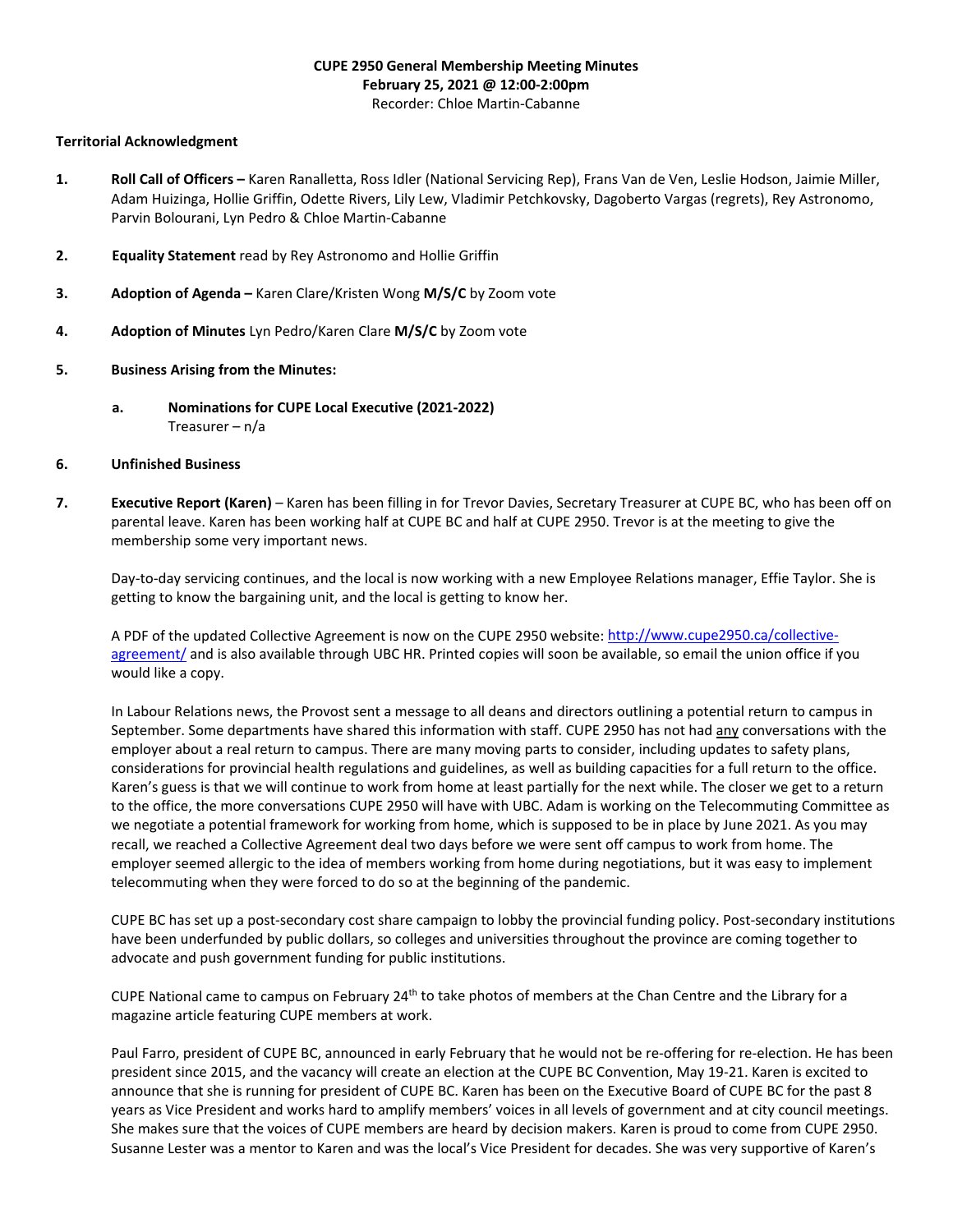#### **CUPE 2950 General Membership Meeting Minutes February 25, 2021 @ 12:00-2:00pm** Recorder: Chloe Martin-Cabanne

## **Territorial Acknowledgment**

- **1. Roll Call of Officers –** Karen Ranalletta, Ross Idler (National Servicing Rep), Frans Van de Ven, Leslie Hodson, Jaimie Miller, Adam Huizinga, Hollie Griffin, Odette Rivers, Lily Lew, Vladimir Petchkovsky, Dagoberto Vargas (regrets), Rey Astronomo, Parvin Bolourani, Lyn Pedro & Chloe Martin-Cabanne
- **2. Equality Statement** read by Rey Astronomo and Hollie Griffin
- **3. Adoption of Agenda –** Karen Clare/Kristen Wong **M/S/C** by Zoom vote
- **4. Adoption of Minutes** Lyn Pedro/Karen Clare **M/S/C** by Zoom vote

## **5. Business Arising from the Minutes:**

**a. Nominations for CUPE Local Executive (2021-2022)** Treasurer – n/a

# **6. Unfinished Business**

**7. Executive Report (Karen)** – Karen has been filling in for Trevor Davies, Secretary Treasurer at CUPE BC, who has been off on parental leave. Karen has been working half at CUPE BC and half at CUPE 2950. Trevor is at the meeting to give the membership some very important news.

Day-to-day servicing continues, and the local is now working with a new Employee Relations manager, Effie Taylor. She is getting to know the bargaining unit, and the local is getting to know her.

A PDF of the updated Collective Agreement is now on the CUPE 2950 website[: http://www.cupe2950.ca/collective](http://www.cupe2950.ca/collective-agreement/)[agreement/](http://www.cupe2950.ca/collective-agreement/) and is also available through UBC HR. Printed copies will soon be available, so email the union office if you would like a copy.

In Labour Relations news, the Provost sent a message to all deans and directors outlining a potential return to campus in September. Some departments have shared this information with staff. CUPE 2950 has not had any conversations with the employer about a real return to campus. There are many moving parts to consider, including updates to safety plans, considerations for provincial health regulations and guidelines, as well as building capacities for a full return to the office. Karen's guess is that we will continue to work from home at least partially for the next while. The closer we get to a return to the office, the more conversations CUPE 2950 will have with UBC. Adam is working on the Telecommuting Committee as we negotiate a potential framework for working from home, which is supposed to be in place by June 2021. As you may recall, we reached a Collective Agreement deal two days before we were sent off campus to work from home. The employer seemed allergic to the idea of members working from home during negotiations, but it was easy to implement telecommuting when they were forced to do so at the beginning of the pandemic.

CUPE BC has set up a post-secondary cost share campaign to lobby the provincial funding policy. Post-secondary institutions have been underfunded by public dollars, so colleges and universities throughout the province are coming together to advocate and push government funding for public institutions.

CUPE National came to campus on February 24th to take photos of members at the Chan Centre and the Library for a magazine article featuring CUPE members at work.

Paul Farro, president of CUPE BC, announced in early February that he would not be re-offering for re-election. He has been president since 2015, and the vacancy will create an election at the CUPE BC Convention, May 19-21. Karen is excited to announce that she is running for president of CUPE BC. Karen has been on the Executive Board of CUPE BC for the past 8 years as Vice President and works hard to amplify members' voices in all levels of government and at city council meetings. She makes sure that the voices of CUPE members are heard by decision makers. Karen is proud to come from CUPE 2950. Susanne Lester was a mentor to Karen and was the local's Vice President for decades. She was very supportive of Karen's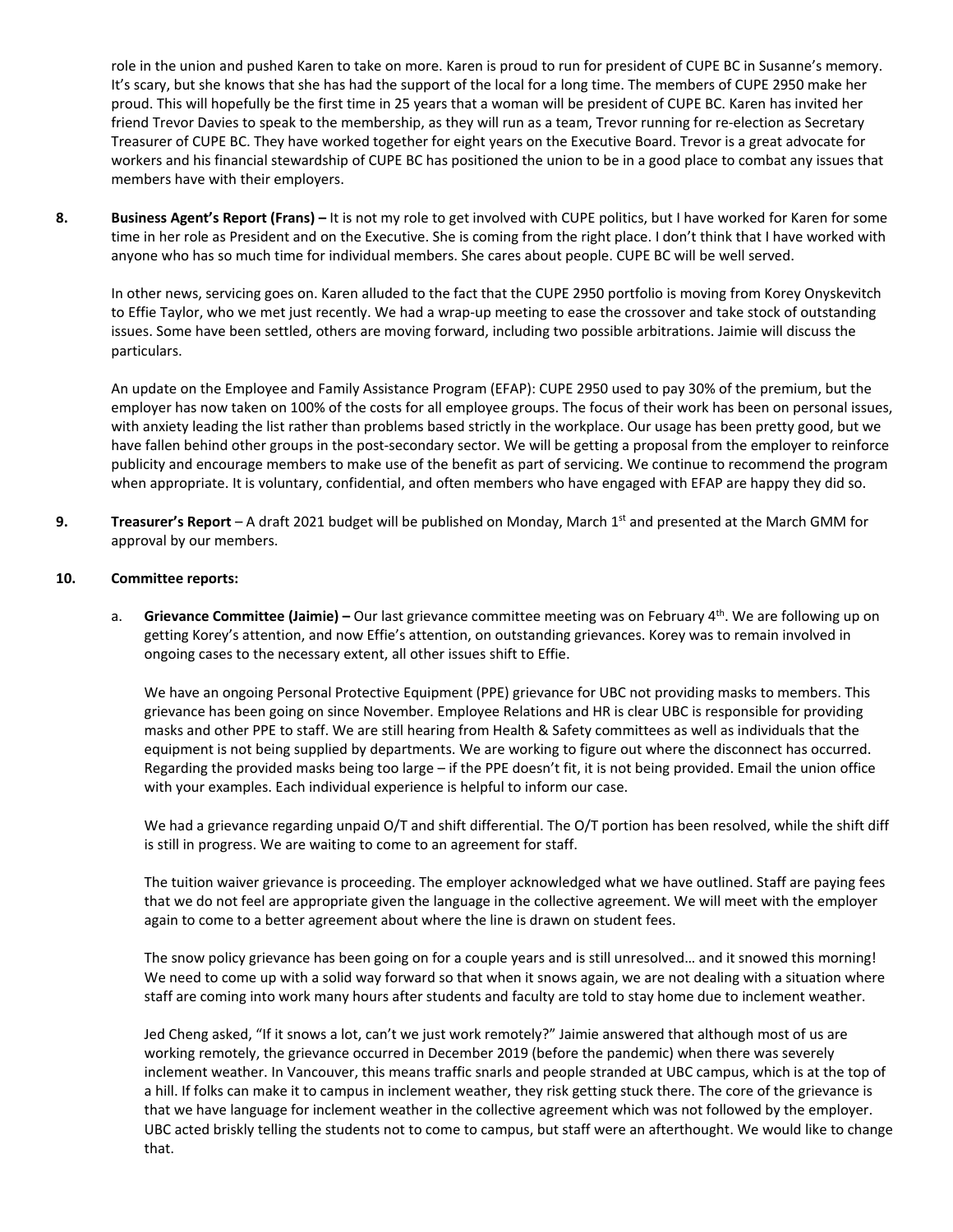role in the union and pushed Karen to take on more. Karen is proud to run for president of CUPE BC in Susanne's memory. It's scary, but she knows that she has had the support of the local for a long time. The members of CUPE 2950 make her proud. This will hopefully be the first time in 25 years that a woman will be president of CUPE BC. Karen has invited her friend Trevor Davies to speak to the membership, as they will run as a team, Trevor running for re-election as Secretary Treasurer of CUPE BC. They have worked together for eight years on the Executive Board. Trevor is a great advocate for workers and his financial stewardship of CUPE BC has positioned the union to be in a good place to combat any issues that members have with their employers.

**8. Business Agent's Report (Frans) –** It is not my role to get involved with CUPE politics, but I have worked for Karen for some time in her role as President and on the Executive. She is coming from the right place. I don't think that I have worked with anyone who has so much time for individual members. She cares about people. CUPE BC will be well served.

In other news, servicing goes on. Karen alluded to the fact that the CUPE 2950 portfolio is moving from Korey Onyskevitch to Effie Taylor, who we met just recently. We had a wrap-up meeting to ease the crossover and take stock of outstanding issues. Some have been settled, others are moving forward, including two possible arbitrations. Jaimie will discuss the particulars.

An update on the Employee and Family Assistance Program (EFAP): CUPE 2950 used to pay 30% of the premium, but the employer has now taken on 100% of the costs for all employee groups. The focus of their work has been on personal issues, with anxiety leading the list rather than problems based strictly in the workplace. Our usage has been pretty good, but we have fallen behind other groups in the post-secondary sector. We will be getting a proposal from the employer to reinforce publicity and encourage members to make use of the benefit as part of servicing. We continue to recommend the program when appropriate. It is voluntary, confidential, and often members who have engaged with EFAP are happy they did so.

**9. Treasurer's Report** – A draft 2021 budget will be published on Monday, March 1st and presented at the March GMM for approval by our members.

## **10. Committee reports:**

a. **Grievance Committee (Jaimie) –** Our last grievance committee meeting was on February 4th. We are following up on getting Korey's attention, and now Effie's attention, on outstanding grievances. Korey was to remain involved in ongoing cases to the necessary extent, all other issues shift to Effie.

We have an ongoing Personal Protective Equipment (PPE) grievance for UBC not providing masks to members. This grievance has been going on since November. Employee Relations and HR is clear UBC is responsible for providing masks and other PPE to staff. We are still hearing from Health & Safety committees as well as individuals that the equipment is not being supplied by departments. We are working to figure out where the disconnect has occurred. Regarding the provided masks being too large – if the PPE doesn't fit, it is not being provided. Email the union office with your examples. Each individual experience is helpful to inform our case.

We had a grievance regarding unpaid O/T and shift differential. The O/T portion has been resolved, while the shift diff is still in progress. We are waiting to come to an agreement for staff.

The tuition waiver grievance is proceeding. The employer acknowledged what we have outlined. Staff are paying fees that we do not feel are appropriate given the language in the collective agreement. We will meet with the employer again to come to a better agreement about where the line is drawn on student fees.

The snow policy grievance has been going on for a couple years and is still unresolved… and it snowed this morning! We need to come up with a solid way forward so that when it snows again, we are not dealing with a situation where staff are coming into work many hours after students and faculty are told to stay home due to inclement weather.

Jed Cheng asked, "If it snows a lot, can't we just work remotely?" Jaimie answered that although most of us are working remotely, the grievance occurred in December 2019 (before the pandemic) when there was severely inclement weather. In Vancouver, this means traffic snarls and people stranded at UBC campus, which is at the top of a hill. If folks can make it to campus in inclement weather, they risk getting stuck there. The core of the grievance is that we have language for inclement weather in the collective agreement which was not followed by the employer. UBC acted briskly telling the students not to come to campus, but staff were an afterthought. We would like to change that.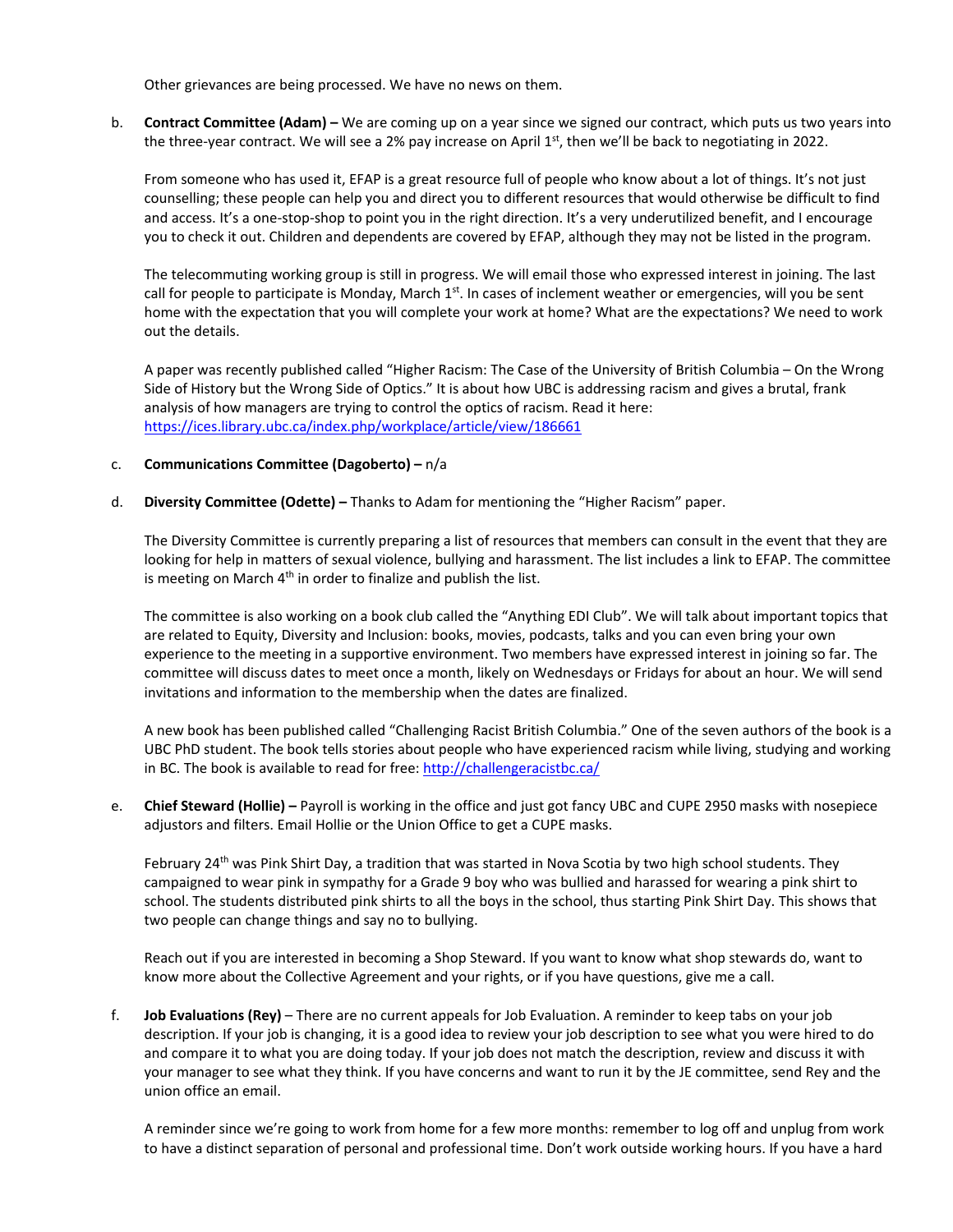Other grievances are being processed. We have no news on them.

b. **Contract Committee (Adam) –** We are coming up on a year since we signed our contract, which puts us two years into the three-year contract. We will see a 2% pay increase on April  $1<sup>st</sup>$ , then we'll be back to negotiating in 2022.

From someone who has used it, EFAP is a great resource full of people who know about a lot of things. It's not just counselling; these people can help you and direct you to different resources that would otherwise be difficult to find and access. It's a one-stop-shop to point you in the right direction. It's a very underutilized benefit, and I encourage you to check it out. Children and dependents are covered by EFAP, although they may not be listed in the program.

The telecommuting working group is still in progress. We will email those who expressed interest in joining. The last call for people to participate is Monday, March  $1<sup>st</sup>$ . In cases of inclement weather or emergencies, will you be sent home with the expectation that you will complete your work at home? What are the expectations? We need to work out the details.

A paper was recently published called "Higher Racism: The Case of the University of British Columbia – On the Wrong Side of History but the Wrong Side of Optics." It is about how UBC is addressing racism and gives a brutal, frank analysis of how managers are trying to control the optics of racism. Read it here: <https://ices.library.ubc.ca/index.php/workplace/article/view/186661>

## c. **Communications Committee (Dagoberto) –** n/a

d. **Diversity Committee (Odette) –** Thanks to Adam for mentioning the "Higher Racism" paper.

The Diversity Committee is currently preparing a list of resources that members can consult in the event that they are looking for help in matters of sexual violence, bullying and harassment. The list includes a link to EFAP. The committee is meeting on March  $4<sup>th</sup>$  in order to finalize and publish the list.

The committee is also working on a book club called the "Anything EDI Club". We will talk about important topics that are related to Equity, Diversity and Inclusion: books, movies, podcasts, talks and you can even bring your own experience to the meeting in a supportive environment. Two members have expressed interest in joining so far. The committee will discuss dates to meet once a month, likely on Wednesdays or Fridays for about an hour. We will send invitations and information to the membership when the dates are finalized.

A new book has been published called "Challenging Racist British Columbia." One of the seven authors of the book is a UBC PhD student. The book tells stories about people who have experienced racism while living, studying and working in BC. The book is available to read for free:<http://challengeracistbc.ca/>

e. **Chief Steward (Hollie) –** Payroll is working in the office and just got fancy UBC and CUPE 2950 masks with nosepiece adjustors and filters. Email Hollie or the Union Office to get a CUPE masks.

February 24<sup>th</sup> was Pink Shirt Day, a tradition that was started in Nova Scotia by two high school students. They campaigned to wear pink in sympathy for a Grade 9 boy who was bullied and harassed for wearing a pink shirt to school. The students distributed pink shirts to all the boys in the school, thus starting Pink Shirt Day. This shows that two people can change things and say no to bullying.

Reach out if you are interested in becoming a Shop Steward. If you want to know what shop stewards do, want to know more about the Collective Agreement and your rights, or if you have questions, give me a call.

f. **Job Evaluations (Rey)** – There are no current appeals for Job Evaluation. A reminder to keep tabs on your job description. If your job is changing, it is a good idea to review your job description to see what you were hired to do and compare it to what you are doing today. If your job does not match the description, review and discuss it with your manager to see what they think. If you have concerns and want to run it by the JE committee, send Rey and the union office an email.

A reminder since we're going to work from home for a few more months: remember to log off and unplug from work to have a distinct separation of personal and professional time. Don't work outside working hours. If you have a hard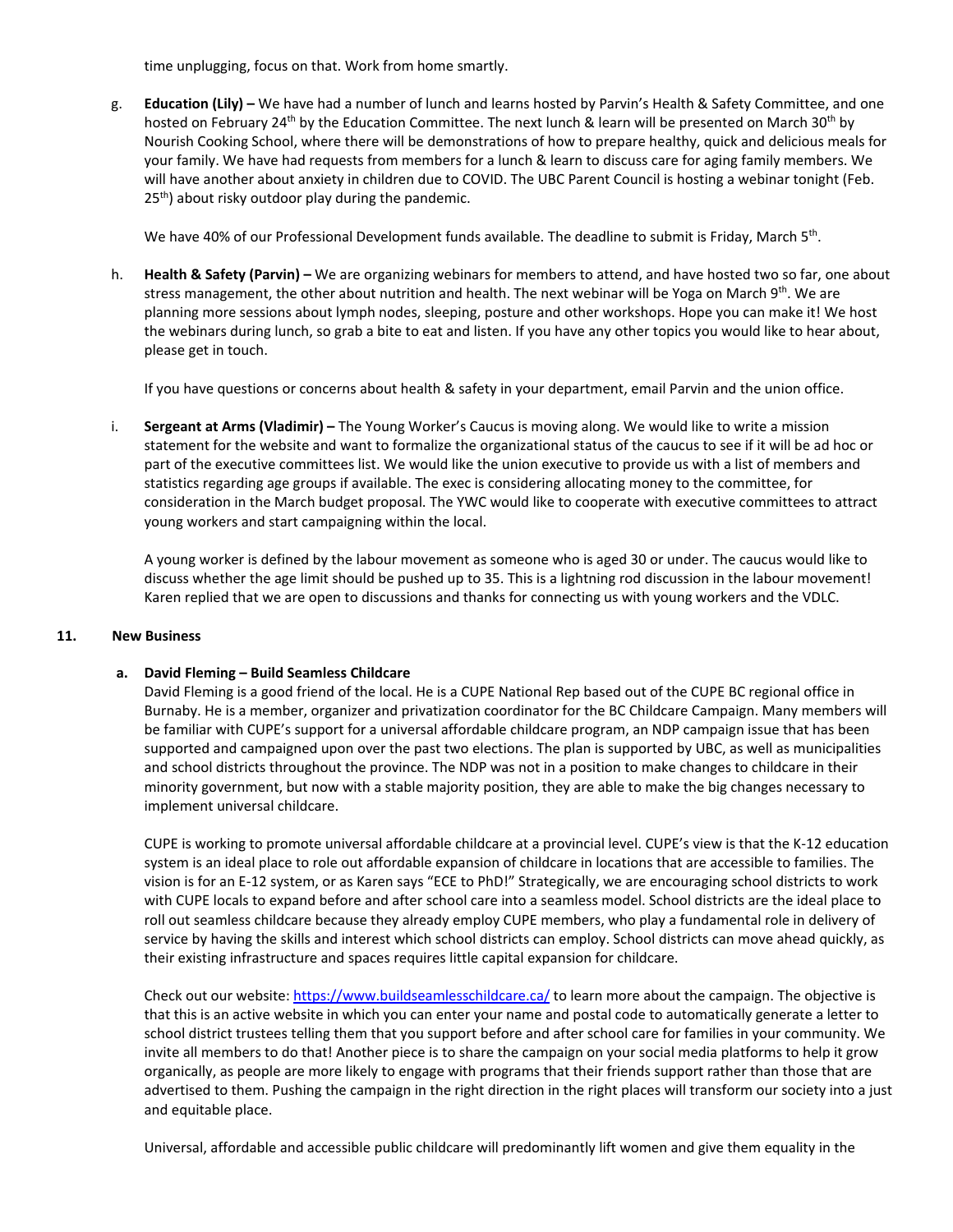time unplugging, focus on that. Work from home smartly.

g. **Education (Lily) –** We have had a number of lunch and learns hosted by Parvin's Health & Safety Committee, and one hosted on February 24th by the Education Committee. The next lunch & learn will be presented on March 30th by Nourish Cooking School, where there will be demonstrations of how to prepare healthy, quick and delicious meals for your family. We have had requests from members for a lunch & learn to discuss care for aging family members. We will have another about anxiety in children due to COVID. The UBC Parent Council is hosting a webinar tonight (Feb.  $25<sup>th</sup>$ ) about risky outdoor play during the pandemic.

We have 40% of our Professional Development funds available. The deadline to submit is Friday, March 5<sup>th</sup>.

h. **Health & Safety (Parvin) –** We are organizing webinars for members to attend, and have hosted two so far, one about stress management, the other about nutrition and health. The next webinar will be Yoga on March 9th. We are planning more sessions about lymph nodes, sleeping, posture and other workshops. Hope you can make it! We host the webinars during lunch, so grab a bite to eat and listen. If you have any other topics you would like to hear about, please get in touch.

If you have questions or concerns about health & safety in your department, email Parvin and the union office.

i. **Sergeant at Arms (Vladimir) –** The Young Worker's Caucus is moving along. We would like to write a mission statement for the website and want to formalize the organizational status of the caucus to see if it will be ad hoc or part of the executive committees list. We would like the union executive to provide us with a list of members and statistics regarding age groups if available. The exec is considering allocating money to the committee, for consideration in the March budget proposal. The YWC would like to cooperate with executive committees to attract young workers and start campaigning within the local.

A young worker is defined by the labour movement as someone who is aged 30 or under. The caucus would like to discuss whether the age limit should be pushed up to 35. This is a lightning rod discussion in the labour movement! Karen replied that we are open to discussions and thanks for connecting us with young workers and the VDLC.

#### **11. New Business**

#### **a. David Fleming – Build Seamless Childcare**

David Fleming is a good friend of the local. He is a CUPE National Rep based out of the CUPE BC regional office in Burnaby. He is a member, organizer and privatization coordinator for the BC Childcare Campaign. Many members will be familiar with CUPE's support for a universal affordable childcare program, an NDP campaign issue that has been supported and campaigned upon over the past two elections. The plan is supported by UBC, as well as municipalities and school districts throughout the province. The NDP was not in a position to make changes to childcare in their minority government, but now with a stable majority position, they are able to make the big changes necessary to implement universal childcare.

CUPE is working to promote universal affordable childcare at a provincial level. CUPE's view is that the K-12 education system is an ideal place to role out affordable expansion of childcare in locations that are accessible to families. The vision is for an E-12 system, or as Karen says "ECE to PhD!" Strategically, we are encouraging school districts to work with CUPE locals to expand before and after school care into a seamless model. School districts are the ideal place to roll out seamless childcare because they already employ CUPE members, who play a fundamental role in delivery of service by having the skills and interest which school districts can employ. School districts can move ahead quickly, as their existing infrastructure and spaces requires little capital expansion for childcare.

Check out our website[: https://www.buildseamlesschildcare.ca/](https://www.buildseamlesschildcare.ca/) to learn more about the campaign. The objective is that this is an active website in which you can enter your name and postal code to automatically generate a letter to school district trustees telling them that you support before and after school care for families in your community. We invite all members to do that! Another piece is to share the campaign on your social media platforms to help it grow organically, as people are more likely to engage with programs that their friends support rather than those that are advertised to them. Pushing the campaign in the right direction in the right places will transform our society into a just and equitable place.

Universal, affordable and accessible public childcare will predominantly lift women and give them equality in the